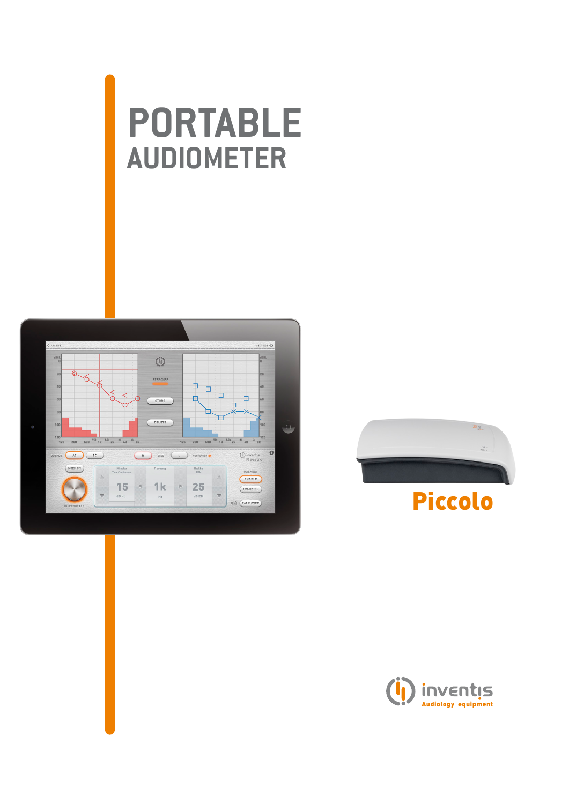# **portable audiometer**





# Piccolo